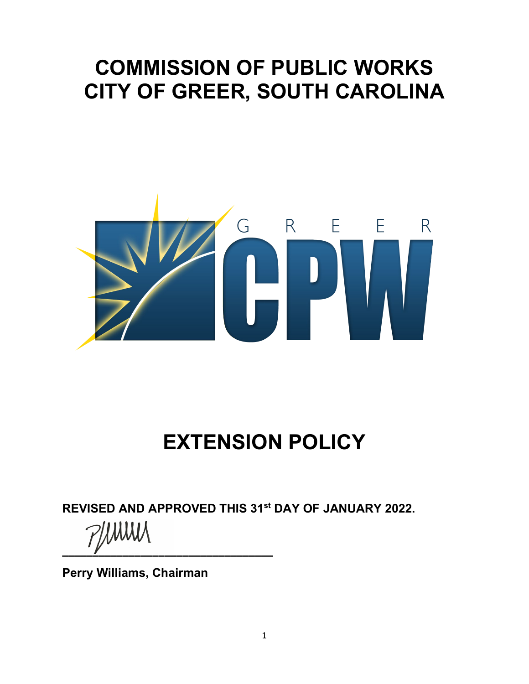## **COMMISSION OF PUBLIC WORKS CITY OF GREER, SOUTH CAROLINA**



# **EXTENSION POLICY**

**REVISED AND APPROVED THIS 31st DAY OF JANUARY 2022.** 

**\_\_\_\_\_\_\_\_\_\_\_\_\_\_\_\_\_\_\_\_\_\_\_\_\_\_\_\_\_\_\_\_\_\_\_**

**Perry Williams, Chairman**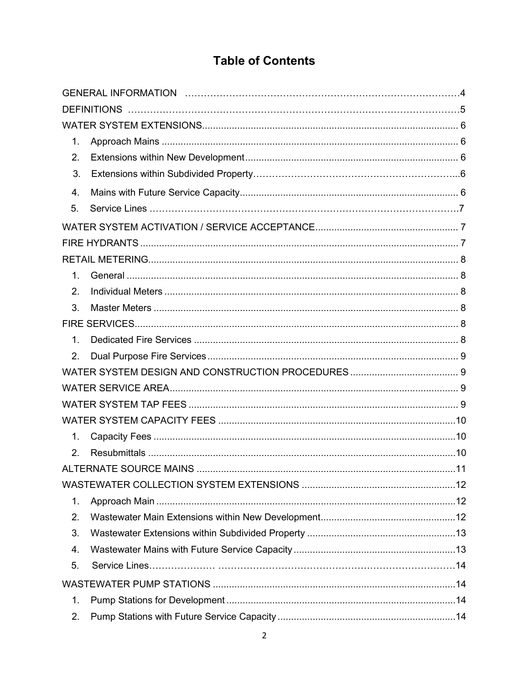### **Table of Contents**

| 1.             |  |  |  |  |
|----------------|--|--|--|--|
| 2.             |  |  |  |  |
| 3.             |  |  |  |  |
| 4.             |  |  |  |  |
| 5.             |  |  |  |  |
|                |  |  |  |  |
|                |  |  |  |  |
|                |  |  |  |  |
| 1.             |  |  |  |  |
| 2.             |  |  |  |  |
| 3.             |  |  |  |  |
|                |  |  |  |  |
| $\mathbf{1}$ . |  |  |  |  |
| 2.             |  |  |  |  |
|                |  |  |  |  |
|                |  |  |  |  |
|                |  |  |  |  |
|                |  |  |  |  |
| 1.             |  |  |  |  |
| 2.             |  |  |  |  |
|                |  |  |  |  |
|                |  |  |  |  |
| 1.             |  |  |  |  |
| 2.             |  |  |  |  |
| 3.             |  |  |  |  |
| 4.             |  |  |  |  |
| 5.             |  |  |  |  |
|                |  |  |  |  |
| $\mathbf{1}$ . |  |  |  |  |
| 2.             |  |  |  |  |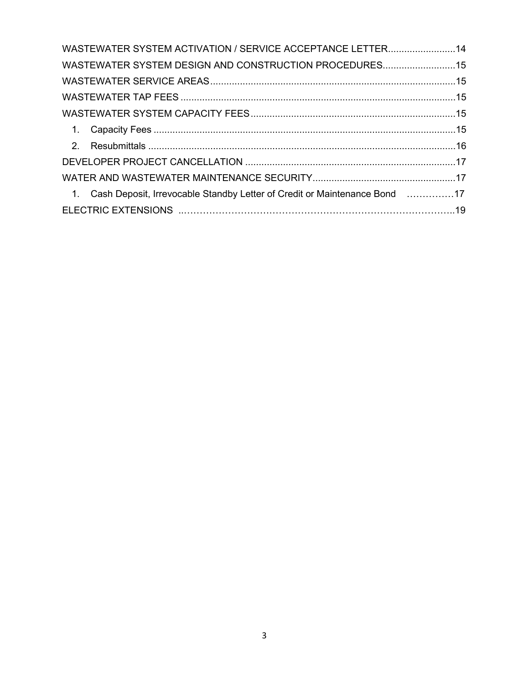| WASTEWATER SYSTEM ACTIVATION / SERVICE ACCEPTANCE LETTER14                   |  |
|------------------------------------------------------------------------------|--|
| WASTEWATER SYSTEM DESIGN AND CONSTRUCTION PROCEDURES15                       |  |
|                                                                              |  |
|                                                                              |  |
|                                                                              |  |
|                                                                              |  |
|                                                                              |  |
|                                                                              |  |
|                                                                              |  |
| 1. Cash Deposit, Irrevocable Standby Letter of Credit or Maintenance Bond 17 |  |
|                                                                              |  |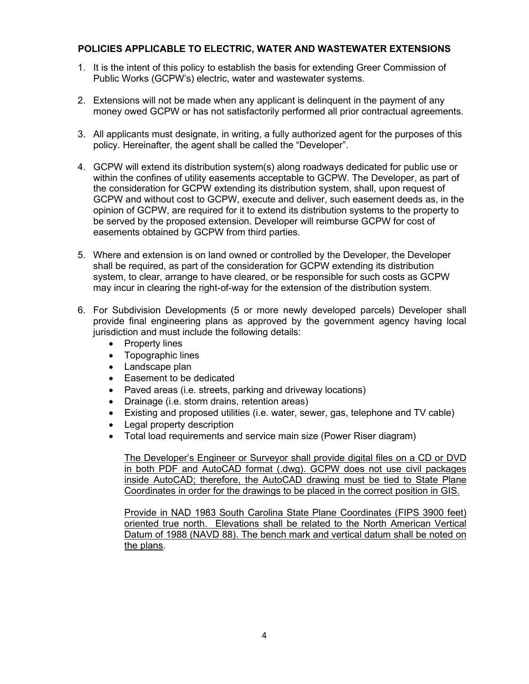#### **POLICIES APPLICABLE TO ELECTRIC, WATER AND WASTEWATER EXTENSIONS**

- 1. It is the intent of this policy to establish the basis for extending Greer Commission of Public Works (GCPW's) electric, water and wastewater systems.
- 2. Extensions will not be made when any applicant is delinquent in the payment of any money owed GCPW or has not satisfactorily performed all prior contractual agreements.
- 3. All applicants must designate, in writing, a fully authorized agent for the purposes of this policy. Hereinafter, the agent shall be called the "Developer".
- 4. GCPW will extend its distribution system(s) along roadways dedicated for public use or within the confines of utility easements acceptable to GCPW. The Developer, as part of the consideration for GCPW extending its distribution system, shall, upon request of GCPW and without cost to GCPW, execute and deliver, such easement deeds as, in the opinion of GCPW, are required for it to extend its distribution systems to the property to be served by the proposed extension. Developer will reimburse GCPW for cost of easements obtained by GCPW from third parties.
- 5. Where and extension is on land owned or controlled by the Developer, the Developer shall be required, as part of the consideration for GCPW extending its distribution system, to clear, arrange to have cleared, or be responsible for such costs as GCPW may incur in clearing the right-of-way for the extension of the distribution system.
- 6. For Subdivision Developments (5 or more newly developed parcels) Developer shall provide final engineering plans as approved by the government agency having local jurisdiction and must include the following details:
	- Property lines
	- Topographic lines
	- Landscape plan
	- Easement to be dedicated
	- Paved areas (i.e. streets, parking and driveway locations)
	- Drainage (i.e. storm drains, retention areas)
	- Existing and proposed utilities (i.e. water, sewer, gas, telephone and TV cable)
	- Legal property description
	- Total load requirements and service main size (Power Riser diagram)

The Developer's Engineer or Surveyor shall provide digital files on a CD or DVD in both PDF and AutoCAD format (.dwg). GCPW does not use civil packages inside AutoCAD; therefore, the AutoCAD drawing must be tied to State Plane Coordinates in order for the drawings to be placed in the correct position in GIS.

Provide in NAD 1983 South Carolina State Plane Coordinates (FIPS 3900 feet) oriented true north. Elevations shall be related to the North American Vertical Datum of 1988 (NAVD 88). The bench mark and vertical datum shall be noted on the plans.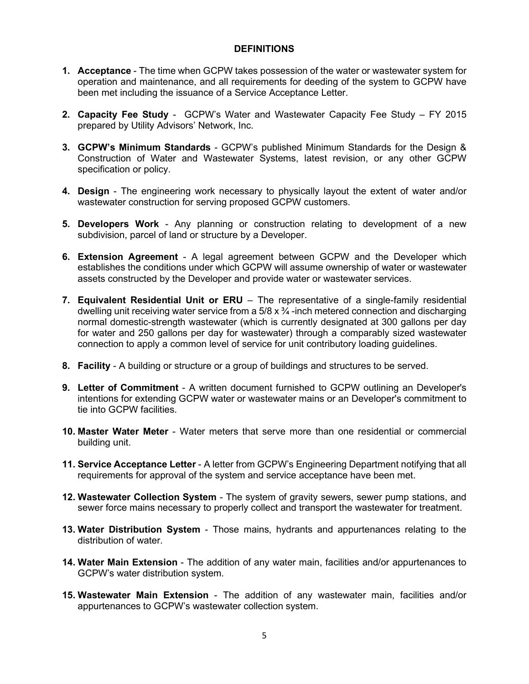#### **DEFINITIONS**

- **1. Acceptance**  The time when GCPW takes possession of the water or wastewater system for operation and maintenance, and all requirements for deeding of the system to GCPW have been met including the issuance of a Service Acceptance Letter.
- **2. Capacity Fee Study** GCPW's Water and Wastewater Capacity Fee Study FY 2015 prepared by Utility Advisors' Network, Inc.
- **3. GCPW's Minimum Standards**  GCPW's published Minimum Standards for the Design & Construction of Water and Wastewater Systems, latest revision, or any other GCPW specification or policy.
- **4. Design**  The engineering work necessary to physically layout the extent of water and/or wastewater construction for serving proposed GCPW customers.
- **5. Developers Work**  Any planning or construction relating to development of a new subdivision, parcel of land or structure by a Developer.
- **6. Extension Agreement**  A legal agreement between GCPW and the Developer which establishes the conditions under which GCPW will assume ownership of water or wastewater assets constructed by the Developer and provide water or wastewater services.
- **7. Equivalent Residential Unit or ERU**  The representative of a single-family residential dwelling unit receiving water service from a  $5/8 \times 3/4$  -inch metered connection and discharging normal domestic-strength wastewater (which is currently designated at 300 gallons per day for water and 250 gallons per day for wastewater) through a comparably sized wastewater connection to apply a common level of service for unit contributory loading guidelines.
- **8. Facility**  A building or structure or a group of buildings and structures to be served.
- **9. Letter of Commitment**  A written document furnished to GCPW outlining an Developer's intentions for extending GCPW water or wastewater mains or an Developer's commitment to tie into GCPW facilities.
- **10. Master Water Meter**  Water meters that serve more than one residential or commercial building unit.
- **11. Service Acceptance Letter**  A letter from GCPW's Engineering Department notifying that all requirements for approval of the system and service acceptance have been met.
- **12. Wastewater Collection System**  The system of gravity sewers, sewer pump stations, and sewer force mains necessary to properly collect and transport the wastewater for treatment.
- **13. Water Distribution System**  Those mains, hydrants and appurtenances relating to the distribution of water.
- **14. Water Main Extension**  The addition of any water main, facilities and/or appurtenances to GCPW's water distribution system.
- **15. Wastewater Main Extension**  The addition of any wastewater main, facilities and/or appurtenances to GCPW's wastewater collection system.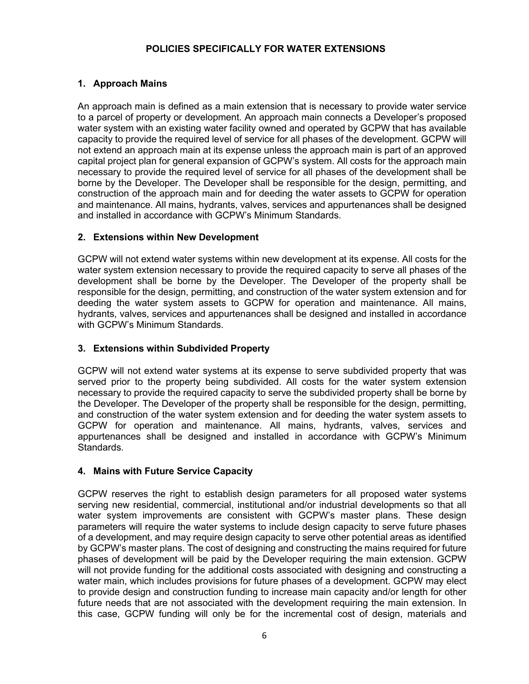#### **POLICIES SPECIFICALLY FOR WATER EXTENSIONS**

#### <span id="page-5-0"></span>**1. Approach Mains**

An approach main is defined as a main extension that is necessary to provide water service to a parcel of property or development. An approach main connects a Developer's proposed water system with an existing water facility owned and operated by GCPW that has available capacity to provide the required level of service for all phases of the development. GCPW will not extend an approach main at its expense unless the approach main is part of an approved capital project plan for general expansion of GCPW's system. All costs for the approach main necessary to provide the required level of service for all phases of the development shall be borne by the Developer. The Developer shall be responsible for the design, permitting, and construction of the approach main and for deeding the water assets to GCPW for operation and maintenance. All mains, hydrants, valves, services and appurtenances shall be designed and installed in accordance with GCPW's Minimum Standards.

#### **2. Extensions within New Development**

GCPW will not extend water systems within new development at its expense. All costs for the water system extension necessary to provide the required capacity to serve all phases of the development shall be borne by the Developer. The Developer of the property shall be responsible for the design, permitting, and construction of the water system extension and for deeding the water system assets to GCPW for operation and maintenance. All mains, hydrants, valves, services and appurtenances shall be designed and installed in accordance with GCPW's Minimum Standards.

#### <span id="page-5-1"></span>**3. Extensions within Subdivided Property**

GCPW will not extend water systems at its expense to serve subdivided property that was served prior to the property being subdivided. All costs for the water system extension necessary to provide the required capacity to serve the subdivided property shall be borne by the Developer. The Developer of the property shall be responsible for the design, permitting, and construction of the water system extension and for deeding the water system assets to GCPW for operation and maintenance. All mains, hydrants, valves, services and appurtenances shall be designed and installed in accordance with GCPW's Minimum Standards.

#### <span id="page-5-2"></span>**4. Mains with Future Service Capacity**

GCPW reserves the right to establish design parameters for all proposed water systems serving new residential, commercial, institutional and/or industrial developments so that all water system improvements are consistent with GCPW's master plans. These design parameters will require the water systems to include design capacity to serve future phases of a development, and may require design capacity to serve other potential areas as identified by GCPW's master plans. The cost of designing and constructing the mains required for future phases of development will be paid by the Developer requiring the main extension. GCPW will not provide funding for the additional costs associated with designing and constructing a water main, which includes provisions for future phases of a development. GCPW may elect to provide design and construction funding to increase main capacity and/or length for other future needs that are not associated with the development requiring the main extension. In this case, GCPW funding will only be for the incremental cost of design, materials and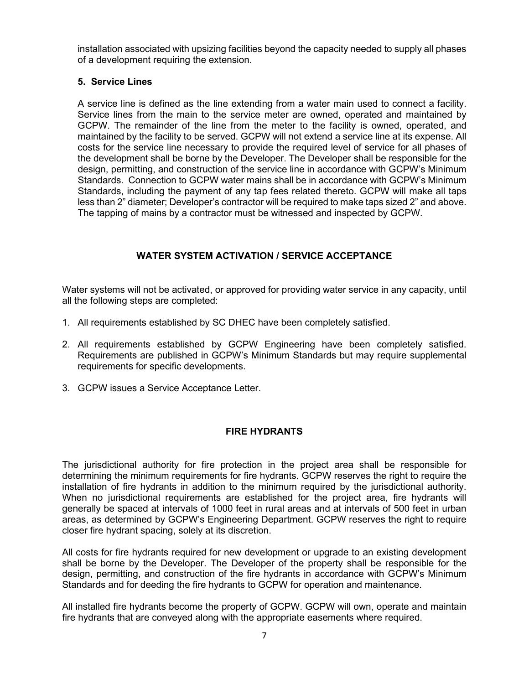installation associated with upsizing facilities beyond the capacity needed to supply all phases of a development requiring the extension.

#### **5. Service Lines**

A service line is defined as the line extending from a water main used to connect a facility. Service lines from the main to the service meter are owned, operated and maintained by GCPW. The remainder of the line from the meter to the facility is owned, operated, and maintained by the facility to be served. GCPW will not extend a service line at its expense. All costs for the service line necessary to provide the required level of service for all phases of the development shall be borne by the Developer. The Developer shall be responsible for the design, permitting, and construction of the service line in accordance with GCPW's Minimum Standards. Connection to GCPW water mains shall be in accordance with GCPW's Minimum Standards, including the payment of any tap fees related thereto. GCPW will make all taps less than 2" diameter; Developer's contractor will be required to make taps sized 2" and above. The tapping of mains by a contractor must be witnessed and inspected by GCPW.

#### **WATER SYSTEM ACTIVATION / SERVICE ACCEPTANCE**

<span id="page-6-0"></span>Water systems will not be activated, or approved for providing water service in any capacity, until all the following steps are completed:

- 1. All requirements established by SC DHEC have been completely satisfied.
- 2. All requirements established by GCPW Engineering have been completely satisfied. Requirements are published in GCPW's Minimum Standards but may require supplemental requirements for specific developments.
- <span id="page-6-1"></span>3. GCPW issues a Service Acceptance Letter.

#### **FIRE HYDRANTS**

The jurisdictional authority for fire protection in the project area shall be responsible for determining the minimum requirements for fire hydrants. GCPW reserves the right to require the installation of fire hydrants in addition to the minimum required by the jurisdictional authority. When no jurisdictional requirements are established for the project area, fire hydrants will generally be spaced at intervals of 1000 feet in rural areas and at intervals of 500 feet in urban areas, as determined by GCPW's Engineering Department. GCPW reserves the right to require closer fire hydrant spacing, solely at its discretion.

All costs for fire hydrants required for new development or upgrade to an existing development shall be borne by the Developer. The Developer of the property shall be responsible for the design, permitting, and construction of the fire hydrants in accordance with GCPW's Minimum Standards and for deeding the fire hydrants to GCPW for operation and maintenance.

All installed fire hydrants become the property of GCPW. GCPW will own, operate and maintain fire hydrants that are conveyed along with the appropriate easements where required.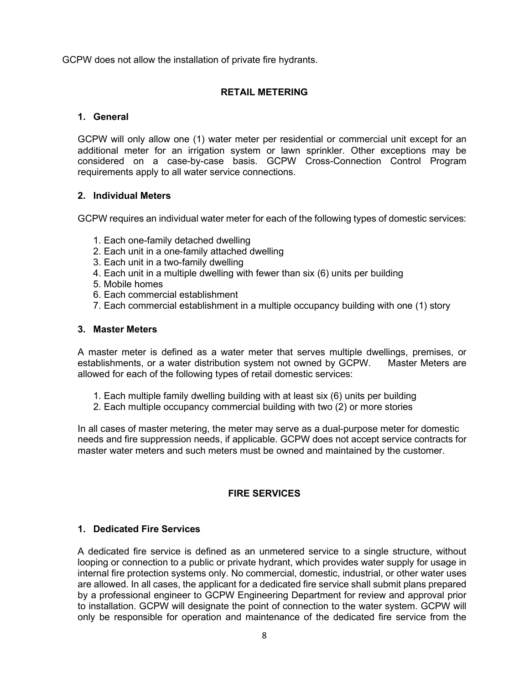<span id="page-7-0"></span>GCPW does not allow the installation of private fire hydrants.

#### **RETAIL METERING**

#### <span id="page-7-1"></span>**1. General**

GCPW will only allow one (1) water meter per residential or commercial unit except for an additional meter for an irrigation system or lawn sprinkler. Other exceptions may be considered on a case-by-case basis. GCPW Cross-Connection Control Program requirements apply to all water service connections.

#### <span id="page-7-2"></span>**2. Individual Meters**

GCPW requires an individual water meter for each of the following types of domestic services:

- 1. Each one-family detached dwelling
- 2. Each unit in a one-family attached dwelling
- 3. Each unit in a two-family dwelling
- 4. Each unit in a multiple dwelling with fewer than six (6) units per building
- 5. Mobile homes
- 6. Each commercial establishment
- 7. Each commercial establishment in a multiple occupancy building with one (1) story

#### <span id="page-7-3"></span>**3. Master Meters**

A master meter is defined as a water meter that serves multiple dwellings, premises, or establishments, or a water distribution system not owned by GCPW. Master Meters are allowed for each of the following types of retail domestic services:

- 1. Each multiple family dwelling building with at least six (6) units per building
- 2. Each multiple occupancy commercial building with two (2) or more stories

In all cases of master metering, the meter may serve as a dual-purpose meter for domestic needs and fire suppression needs, if applicable. GCPW does not accept service contracts for master water meters and such meters must be owned and maintained by the customer.

#### **FIRE SERVICES**

#### <span id="page-7-5"></span><span id="page-7-4"></span>**1. Dedicated Fire Services**

A dedicated fire service is defined as an unmetered service to a single structure, without looping or connection to a public or private hydrant, which provides water supply for usage in internal fire protection systems only. No commercial, domestic, industrial, or other water uses are allowed. In all cases, the applicant for a dedicated fire service shall submit plans prepared by a professional engineer to GCPW Engineering Department for review and approval prior to installation. GCPW will designate the point of connection to the water system. GCPW will only be responsible for operation and maintenance of the dedicated fire service from the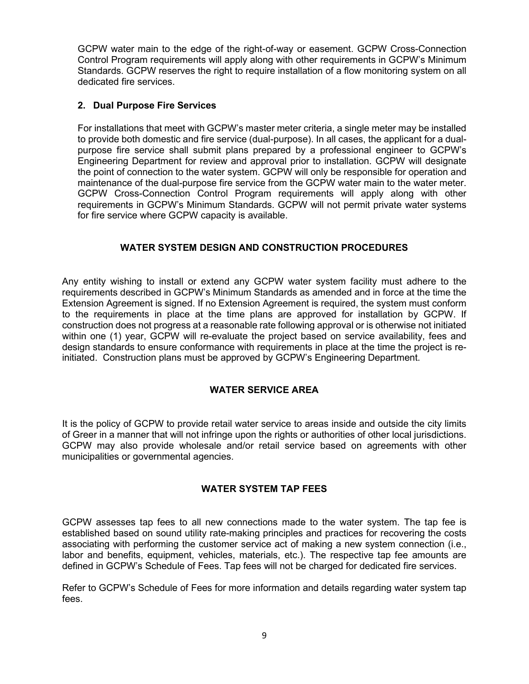GCPW water main to the edge of the right-of-way or easement. GCPW Cross-Connection Control Program requirements will apply along with other requirements in GCPW's Minimum Standards. GCPW reserves the right to require installation of a flow monitoring system on all dedicated fire services.

#### <span id="page-8-0"></span>**2. Dual Purpose Fire Services**

For installations that meet with GCPW's master meter criteria, a single meter may be installed to provide both domestic and fire service (dual-purpose). In all cases, the applicant for a dualpurpose fire service shall submit plans prepared by a professional engineer to GCPW's Engineering Department for review and approval prior to installation. GCPW will designate the point of connection to the water system. GCPW will only be responsible for operation and maintenance of the dual-purpose fire service from the GCPW water main to the water meter. GCPW Cross-Connection Control Program requirements will apply along with other requirements in GCPW's Minimum Standards. GCPW will not permit private water systems for fire service where GCPW capacity is available.

#### **WATER SYSTEM DESIGN AND CONSTRUCTION PROCEDURES**

<span id="page-8-1"></span>Any entity wishing to install or extend any GCPW water system facility must adhere to the requirements described in GCPW's Minimum Standards as amended and in force at the time the Extension Agreement is signed. If no Extension Agreement is required, the system must conform to the requirements in place at the time plans are approved for installation by GCPW. If construction does not progress at a reasonable rate following approval or is otherwise not initiated within one (1) year, GCPW will re-evaluate the project based on service availability, fees and design standards to ensure conformance with requirements in place at the time the project is reinitiated. Construction plans must be approved by GCPW's Engineering Department.

#### **WATER SERVICE AREA**

<span id="page-8-2"></span>It is the policy of GCPW to provide retail water service to areas inside and outside the city limits of Greer in a manner that will not infringe upon the rights or authorities of other local jurisdictions. GCPW may also provide wholesale and/or retail service based on agreements with other municipalities or governmental agencies.

#### **WATER SYSTEM TAP FEES**

<span id="page-8-3"></span>GCPW assesses tap fees to all new connections made to the water system. The tap fee is established based on sound utility rate-making principles and practices for recovering the costs associating with performing the customer service act of making a new system connection (i.e., labor and benefits, equipment, vehicles, materials, etc.). The respective tap fee amounts are defined in GCPW's Schedule of Fees. Tap fees will not be charged for dedicated fire services.

Refer to GCPW's Schedule of Fees for more information and details regarding water system tap fees.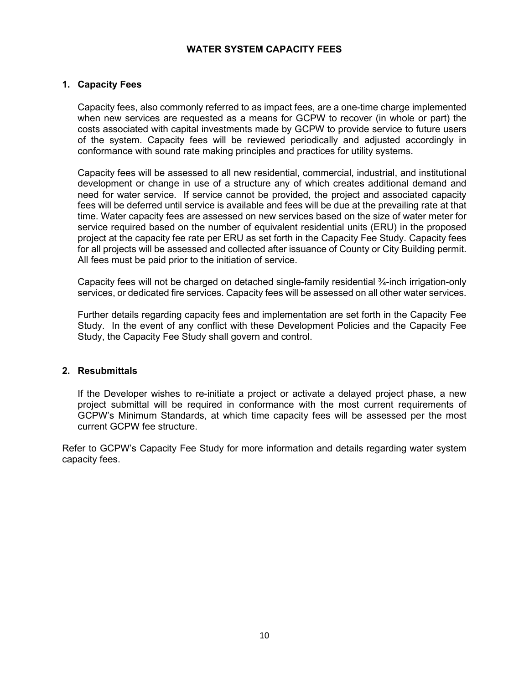#### **WATER SYSTEM CAPACITY FEES**

#### <span id="page-9-1"></span><span id="page-9-0"></span>**1. Capacity Fees**

Capacity fees, also commonly referred to as impact fees, are a one-time charge implemented when new services are requested as a means for GCPW to recover (in whole or part) the costs associated with capital investments made by GCPW to provide service to future users of the system. Capacity fees will be reviewed periodically and adjusted accordingly in conformance with sound rate making principles and practices for utility systems.

Capacity fees will be assessed to all new residential, commercial, industrial, and institutional development or change in use of a structure any of which creates additional demand and need for water service. If service cannot be provided, the project and associated capacity fees will be deferred until service is available and fees will be due at the prevailing rate at that time. Water capacity fees are assessed on new services based on the size of water meter for service required based on the number of equivalent residential units (ERU) in the proposed project at the capacity fee rate per ERU as set forth in the Capacity Fee Study. Capacity fees for all projects will be assessed and collected after issuance of County or City Building permit. All fees must be paid prior to the initiation of service.

Capacity fees will not be charged on detached single-family residential ¾-inch irrigation-only services, or dedicated fire services. Capacity fees will be assessed on all other water services.

Further details regarding capacity fees and implementation are set forth in the Capacity Fee Study. In the event of any conflict with these Development Policies and the Capacity Fee Study, the Capacity Fee Study shall govern and control.

#### <span id="page-9-2"></span>**2. Resubmittals**

If the Developer wishes to re-initiate a project or activate a delayed project phase, a new project submittal will be required in conformance with the most current requirements of GCPW's Minimum Standards, at which time capacity fees will be assessed per the most current GCPW fee structure.

<span id="page-9-3"></span>Refer to GCPW's Capacity Fee Study for more information and details regarding water system capacity fees.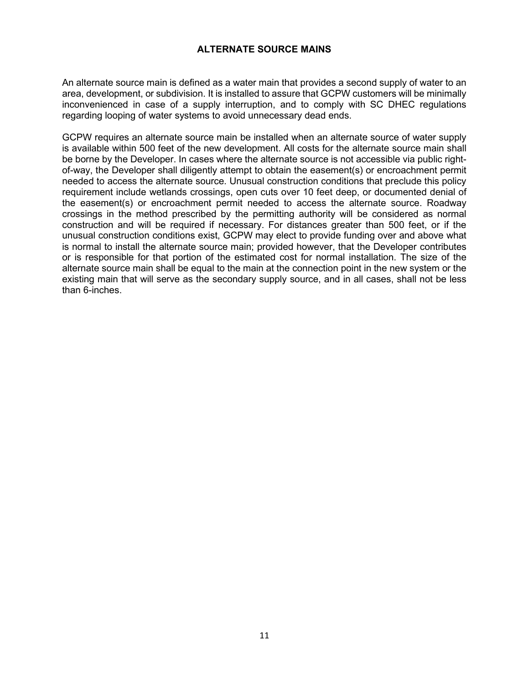#### **ALTERNATE SOURCE MAINS**

An alternate source main is defined as a water main that provides a second supply of water to an area, development, or subdivision. It is installed to assure that GCPW customers will be minimally inconvenienced in case of a supply interruption, and to comply with SC DHEC regulations regarding looping of water systems to avoid unnecessary dead ends.

GCPW requires an alternate source main be installed when an alternate source of water supply is available within 500 feet of the new development. All costs for the alternate source main shall be borne by the Developer. In cases where the alternate source is not accessible via public rightof-way, the Developer shall diligently attempt to obtain the easement(s) or encroachment permit needed to access the alternate source. Unusual construction conditions that preclude this policy requirement include wetlands crossings, open cuts over 10 feet deep, or documented denial of the easement(s) or encroachment permit needed to access the alternate source. Roadway crossings in the method prescribed by the permitting authority will be considered as normal construction and will be required if necessary. For distances greater than 500 feet, or if the unusual construction conditions exist, GCPW may elect to provide funding over and above what is normal to install the alternate source main; provided however, that the Developer contributes or is responsible for that portion of the estimated cost for normal installation. The size of the alternate source main shall be equal to the main at the connection point in the new system or the existing main that will serve as the secondary supply source, and in all cases, shall not be less than 6-inches.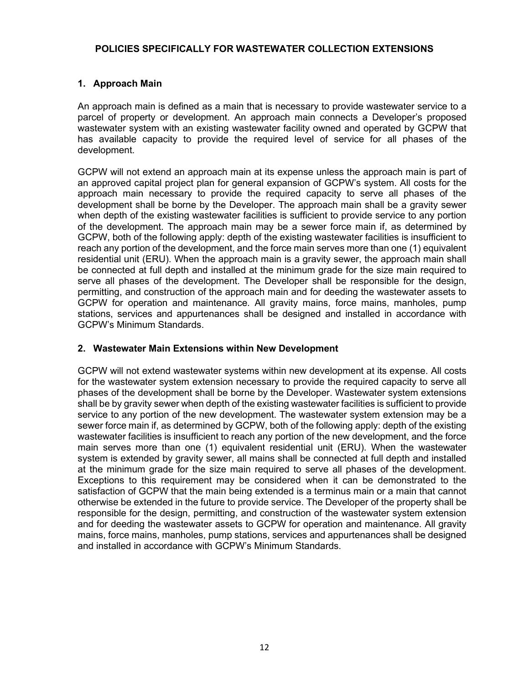#### <span id="page-11-0"></span>**POLICIES SPECIFICALLY FOR WASTEWATER COLLECTION EXTENSIONS**

#### <span id="page-11-1"></span>**1. Approach Main**

An approach main is defined as a main that is necessary to provide wastewater service to a parcel of property or development. An approach main connects a Developer's proposed wastewater system with an existing wastewater facility owned and operated by GCPW that has available capacity to provide the required level of service for all phases of the development.

GCPW will not extend an approach main at its expense unless the approach main is part of an approved capital project plan for general expansion of GCPW's system. All costs for the approach main necessary to provide the required capacity to serve all phases of the development shall be borne by the Developer. The approach main shall be a gravity sewer when depth of the existing wastewater facilities is sufficient to provide service to any portion of the development. The approach main may be a sewer force main if, as determined by GCPW, both of the following apply: depth of the existing wastewater facilities is insufficient to reach any portion of the development, and the force main serves more than one (1) equivalent residential unit (ERU). When the approach main is a gravity sewer, the approach main shall be connected at full depth and installed at the minimum grade for the size main required to serve all phases of the development. The Developer shall be responsible for the design, permitting, and construction of the approach main and for deeding the wastewater assets to GCPW for operation and maintenance. All gravity mains, force mains, manholes, pump stations, services and appurtenances shall be designed and installed in accordance with GCPW's Minimum Standards.

#### <span id="page-11-2"></span>**2. Wastewater Main Extensions within New Development**

GCPW will not extend wastewater systems within new development at its expense. All costs for the wastewater system extension necessary to provide the required capacity to serve all phases of the development shall be borne by the Developer. Wastewater system extensions shall be by gravity sewer when depth of the existing wastewater facilities is sufficient to provide service to any portion of the new development. The wastewater system extension may be a sewer force main if, as determined by GCPW, both of the following apply: depth of the existing wastewater facilities is insufficient to reach any portion of the new development, and the force main serves more than one (1) equivalent residential unit (ERU). When the wastewater system is extended by gravity sewer, all mains shall be connected at full depth and installed at the minimum grade for the size main required to serve all phases of the development. Exceptions to this requirement may be considered when it can be demonstrated to the satisfaction of GCPW that the main being extended is a terminus main or a main that cannot otherwise be extended in the future to provide service. The Developer of the property shall be responsible for the design, permitting, and construction of the wastewater system extension and for deeding the wastewater assets to GCPW for operation and maintenance. All gravity mains, force mains, manholes, pump stations, services and appurtenances shall be designed and installed in accordance with GCPW's Minimum Standards.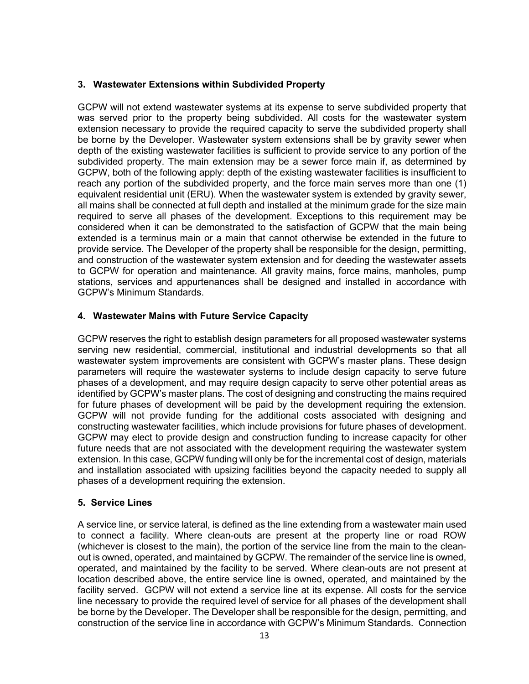#### <span id="page-12-0"></span>**3. Wastewater Extensions within Subdivided Property**

GCPW will not extend wastewater systems at its expense to serve subdivided property that was served prior to the property being subdivided. All costs for the wastewater system extension necessary to provide the required capacity to serve the subdivided property shall be borne by the Developer. Wastewater system extensions shall be by gravity sewer when depth of the existing wastewater facilities is sufficient to provide service to any portion of the subdivided property. The main extension may be a sewer force main if, as determined by GCPW, both of the following apply: depth of the existing wastewater facilities is insufficient to reach any portion of the subdivided property, and the force main serves more than one (1) equivalent residential unit (ERU). When the wastewater system is extended by gravity sewer, all mains shall be connected at full depth and installed at the minimum grade for the size main required to serve all phases of the development. Exceptions to this requirement may be considered when it can be demonstrated to the satisfaction of GCPW that the main being extended is a terminus main or a main that cannot otherwise be extended in the future to provide service. The Developer of the property shall be responsible for the design, permitting, and construction of the wastewater system extension and for deeding the wastewater assets to GCPW for operation and maintenance. All gravity mains, force mains, manholes, pump stations, services and appurtenances shall be designed and installed in accordance with GCPW's Minimum Standards.

#### <span id="page-12-1"></span>**4. Wastewater Mains with Future Service Capacity**

GCPW reserves the right to establish design parameters for all proposed wastewater systems serving new residential, commercial, institutional and industrial developments so that all wastewater system improvements are consistent with GCPW's master plans. These design parameters will require the wastewater systems to include design capacity to serve future phases of a development, and may require design capacity to serve other potential areas as identified by GCPW's master plans. The cost of designing and constructing the mains required for future phases of development will be paid by the development requiring the extension. GCPW will not provide funding for the additional costs associated with designing and constructing wastewater facilities, which include provisions for future phases of development. GCPW may elect to provide design and construction funding to increase capacity for other future needs that are not associated with the development requiring the wastewater system extension. In this case, GCPW funding will only be for the incremental cost of design, materials and installation associated with upsizing facilities beyond the capacity needed to supply all phases of a development requiring the extension.

#### **5. Service Lines**

A service line, or service lateral, is defined as the line extending from a wastewater main used to connect a facility. Where clean-outs are present at the property line or road ROW (whichever is closest to the main), the portion of the service line from the main to the cleanout is owned, operated, and maintained by GCPW. The remainder of the service line is owned, operated, and maintained by the facility to be served. Where clean-outs are not present at location described above, the entire service line is owned, operated, and maintained by the facility served. GCPW will not extend a service line at its expense. All costs for the service line necessary to provide the required level of service for all phases of the development shall be borne by the Developer. The Developer shall be responsible for the design, permitting, and construction of the service line in accordance with GCPW's Minimum Standards. Connection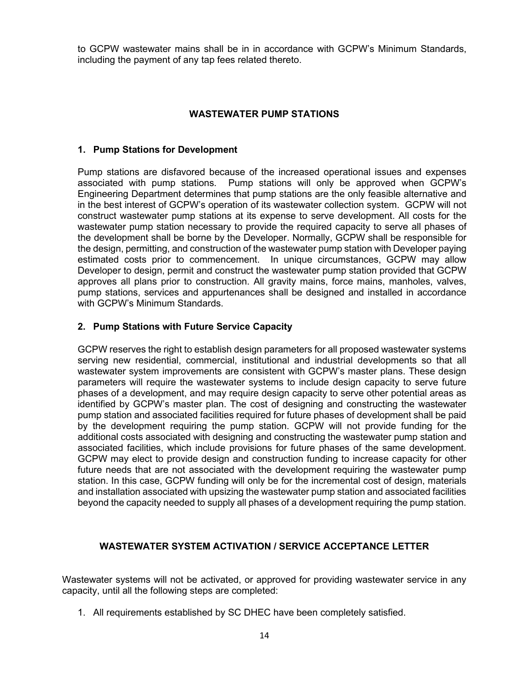to GCPW wastewater mains shall be in in accordance with GCPW's Minimum Standards, including the payment of any tap fees related thereto.

#### **WASTEWATER PUMP STATIONS**

#### <span id="page-13-1"></span><span id="page-13-0"></span>**1. Pump Stations for Development**

Pump stations are disfavored because of the increased operational issues and expenses associated with pump stations. Pump stations will only be approved when GCPW's Engineering Department determines that pump stations are the only feasible alternative and in the best interest of GCPW's operation of its wastewater collection system. GCPW will not construct wastewater pump stations at its expense to serve development. All costs for the wastewater pump station necessary to provide the required capacity to serve all phases of the development shall be borne by the Developer. Normally, GCPW shall be responsible for the design, permitting, and construction of the wastewater pump station with Developer paying estimated costs prior to commencement. In unique circumstances, GCPW may allow Developer to design, permit and construct the wastewater pump station provided that GCPW approves all plans prior to construction. All gravity mains, force mains, manholes, valves, pump stations, services and appurtenances shall be designed and installed in accordance with GCPW's Minimum Standards.

#### <span id="page-13-2"></span>**2. Pump Stations with Future Service Capacity**

GCPW reserves the right to establish design parameters for all proposed wastewater systems serving new residential, commercial, institutional and industrial developments so that all wastewater system improvements are consistent with GCPW's master plans. These design parameters will require the wastewater systems to include design capacity to serve future phases of a development, and may require design capacity to serve other potential areas as identified by GCPW's master plan. The cost of designing and constructing the wastewater pump station and associated facilities required for future phases of development shall be paid by the development requiring the pump station. GCPW will not provide funding for the additional costs associated with designing and constructing the wastewater pump station and associated facilities, which include provisions for future phases of the same development. GCPW may elect to provide design and construction funding to increase capacity for other future needs that are not associated with the development requiring the wastewater pump station. In this case, GCPW funding will only be for the incremental cost of design, materials and installation associated with upsizing the wastewater pump station and associated facilities beyond the capacity needed to supply all phases of a development requiring the pump station.

#### <span id="page-13-3"></span>**WASTEWATER SYSTEM ACTIVATION / SERVICE ACCEPTANCE LETTER**

Wastewater systems will not be activated, or approved for providing wastewater service in any capacity, until all the following steps are completed:

1. All requirements established by SC DHEC have been completely satisfied.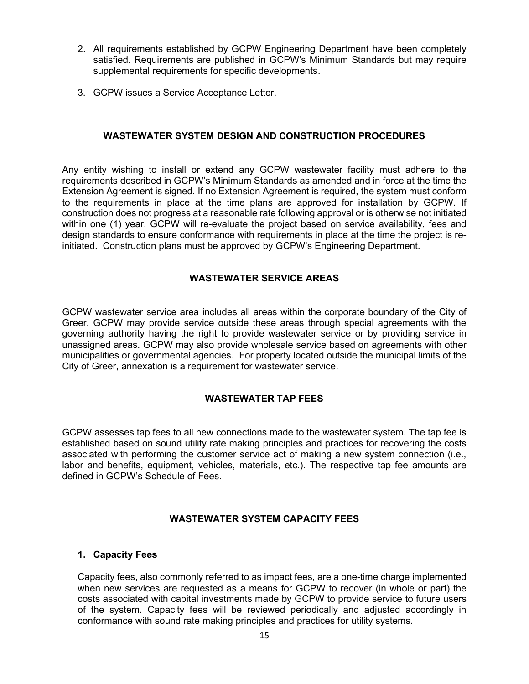- 2. All requirements established by GCPW Engineering Department have been completely satisfied. Requirements are published in GCPW's Minimum Standards but may require supplemental requirements for specific developments.
- <span id="page-14-0"></span>3. GCPW issues a Service Acceptance Letter.

#### **WASTEWATER SYSTEM DESIGN AND CONSTRUCTION PROCEDURES**

Any entity wishing to install or extend any GCPW wastewater facility must adhere to the requirements described in GCPW's Minimum Standards as amended and in force at the time the Extension Agreement is signed. If no Extension Agreement is required, the system must conform to the requirements in place at the time plans are approved for installation by GCPW. If construction does not progress at a reasonable rate following approval or is otherwise not initiated within one (1) year, GCPW will re-evaluate the project based on service availability, fees and design standards to ensure conformance with requirements in place at the time the project is reinitiated. Construction plans must be approved by GCPW's Engineering Department.

#### **WASTEWATER SERVICE AREAS**

<span id="page-14-1"></span>GCPW wastewater service area includes all areas within the corporate boundary of the City of Greer. GCPW may provide service outside these areas through special agreements with the governing authority having the right to provide wastewater service or by providing service in unassigned areas. GCPW may also provide wholesale service based on agreements with other municipalities or governmental agencies. For property located outside the municipal limits of the City of Greer, annexation is a requirement for wastewater service.

#### **WASTEWATER TAP FEES**

<span id="page-14-2"></span>GCPW assesses tap fees to all new connections made to the wastewater system. The tap fee is established based on sound utility rate making principles and practices for recovering the costs associated with performing the customer service act of making a new system connection (i.e., labor and benefits, equipment, vehicles, materials, etc.). The respective tap fee amounts are defined in GCPW's Schedule of Fees.

#### **WASTEWATER SYSTEM CAPACITY FEES**

#### <span id="page-14-4"></span><span id="page-14-3"></span>**1. Capacity Fees**

Capacity fees, also commonly referred to as impact fees, are a one-time charge implemented when new services are requested as a means for GCPW to recover (in whole or part) the costs associated with capital investments made by GCPW to provide service to future users of the system. Capacity fees will be reviewed periodically and adjusted accordingly in conformance with sound rate making principles and practices for utility systems.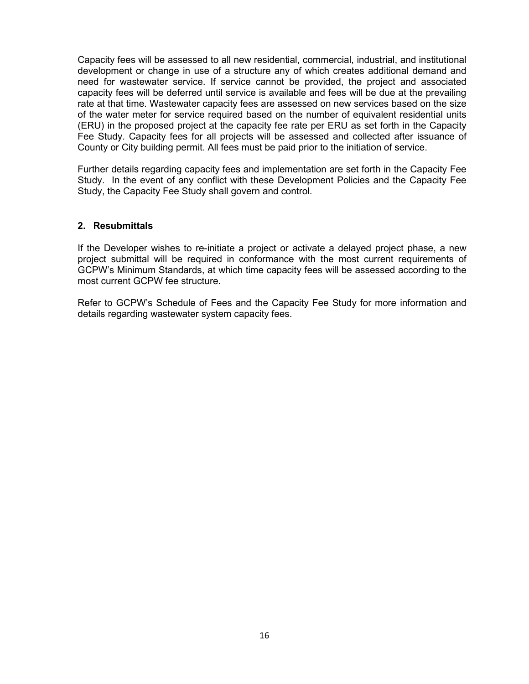Capacity fees will be assessed to all new residential, commercial, industrial, and institutional development or change in use of a structure any of which creates additional demand and need for wastewater service. If service cannot be provided, the project and associated capacity fees will be deferred until service is available and fees will be due at the prevailing rate at that time. Wastewater capacity fees are assessed on new services based on the size of the water meter for service required based on the number of equivalent residential units (ERU) in the proposed project at the capacity fee rate per ERU as set forth in the Capacity Fee Study. Capacity fees for all projects will be assessed and collected after issuance of County or City building permit. All fees must be paid prior to the initiation of service.

Further details regarding capacity fees and implementation are set forth in the Capacity Fee Study. In the event of any conflict with these Development Policies and the Capacity Fee Study, the Capacity Fee Study shall govern and control.

#### <span id="page-15-0"></span>**2. Resubmittals**

If the Developer wishes to re-initiate a project or activate a delayed project phase, a new project submittal will be required in conformance with the most current requirements of GCPW's Minimum Standards, at which time capacity fees will be assessed according to the most current GCPW fee structure.

Refer to GCPW's Schedule of Fees and the Capacity Fee Study for more information and details regarding wastewater system capacity fees.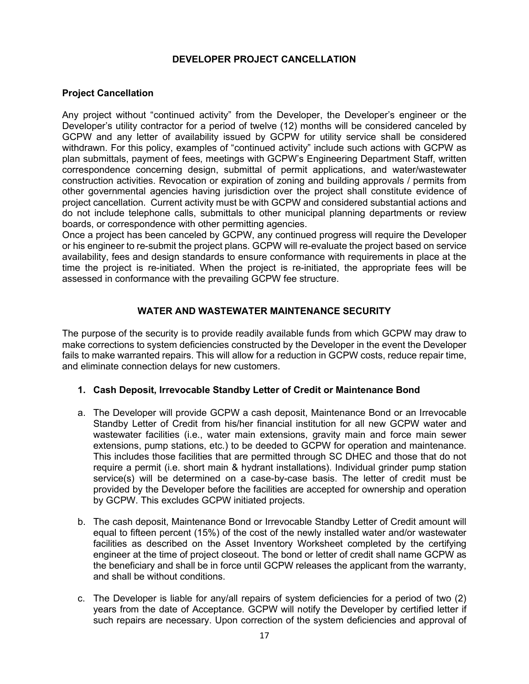#### **DEVELOPER PROJECT CANCELLATION**

#### <span id="page-16-0"></span>**Project Cancellation**

Any project without "continued activity" from the Developer, the Developer's engineer or the Developer's utility contractor for a period of twelve (12) months will be considered canceled by GCPW and any letter of availability issued by GCPW for utility service shall be considered withdrawn. For this policy, examples of "continued activity" include such actions with GCPW as plan submittals, payment of fees, meetings with GCPW's Engineering Department Staff, written correspondence concerning design, submittal of permit applications, and water/wastewater construction activities. Revocation or expiration of zoning and building approvals / permits from other governmental agencies having jurisdiction over the project shall constitute evidence of project cancellation. Current activity must be with GCPW and considered substantial actions and do not include telephone calls, submittals to other municipal planning departments or review boards, or correspondence with other permitting agencies.

Once a project has been canceled by GCPW, any continued progress will require the Developer or his engineer to re-submit the project plans. GCPW will re-evaluate the project based on service availability, fees and design standards to ensure conformance with requirements in place at the time the project is re-initiated. When the project is re-initiated, the appropriate fees will be assessed in conformance with the prevailing GCPW fee structure.

#### **WATER AND WASTEWATER MAINTENANCE SECURITY**

<span id="page-16-1"></span>The purpose of the security is to provide readily available funds from which GCPW may draw to make corrections to system deficiencies constructed by the Developer in the event the Developer fails to make warranted repairs. This will allow for a reduction in GCPW costs, reduce repair time, and eliminate connection delays for new customers.

#### <span id="page-16-2"></span>**1. Cash Deposit, Irrevocable Standby Letter of Credit or Maintenance Bond**

- a. The Developer will provide GCPW a cash deposit, Maintenance Bond or an Irrevocable Standby Letter of Credit from his/her financial institution for all new GCPW water and wastewater facilities (i.e., water main extensions, gravity main and force main sewer extensions, pump stations, etc.) to be deeded to GCPW for operation and maintenance. This includes those facilities that are permitted through SC DHEC and those that do not require a permit (i.e. short main & hydrant installations). Individual grinder pump station service(s) will be determined on a case-by-case basis. The letter of credit must be provided by the Developer before the facilities are accepted for ownership and operation by GCPW. This excludes GCPW initiated projects.
- b. The cash deposit, Maintenance Bond or Irrevocable Standby Letter of Credit amount will equal to fifteen percent (15%) of the cost of the newly installed water and/or wastewater facilities as described on the Asset Inventory Worksheet completed by the certifying engineer at the time of project closeout. The bond or letter of credit shall name GCPW as the beneficiary and shall be in force until GCPW releases the applicant from the warranty, and shall be without conditions.
- c. The Developer is liable for any/all repairs of system deficiencies for a period of two (2) years from the date of Acceptance. GCPW will notify the Developer by certified letter if such repairs are necessary. Upon correction of the system deficiencies and approval of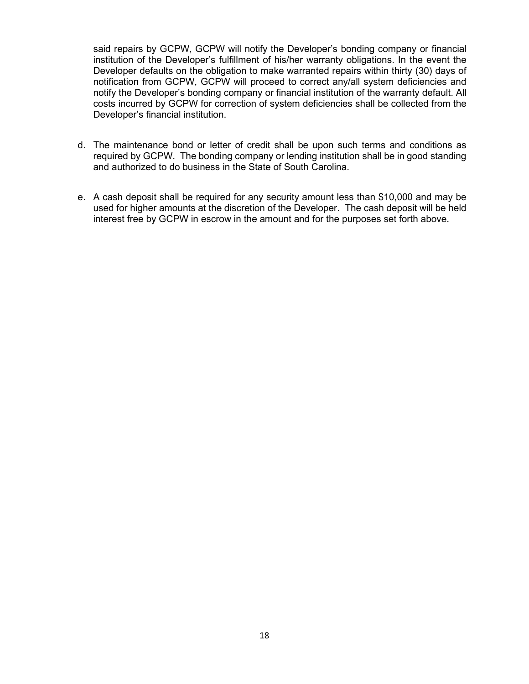said repairs by GCPW, GCPW will notify the Developer's bonding company or financial institution of the Developer's fulfillment of his/her warranty obligations. In the event the Developer defaults on the obligation to make warranted repairs within thirty (30) days of notification from GCPW, GCPW will proceed to correct any/all system deficiencies and notify the Developer's bonding company or financial institution of the warranty default. All costs incurred by GCPW for correction of system deficiencies shall be collected from the Developer's financial institution.

- d. The maintenance bond or letter of credit shall be upon such terms and conditions as required by GCPW. The bonding company or lending institution shall be in good standing and authorized to do business in the State of South Carolina.
- e. A cash deposit shall be required for any security amount less than \$10,000 and may be used for higher amounts at the discretion of the Developer. The cash deposit will be held interest free by GCPW in escrow in the amount and for the purposes set forth above.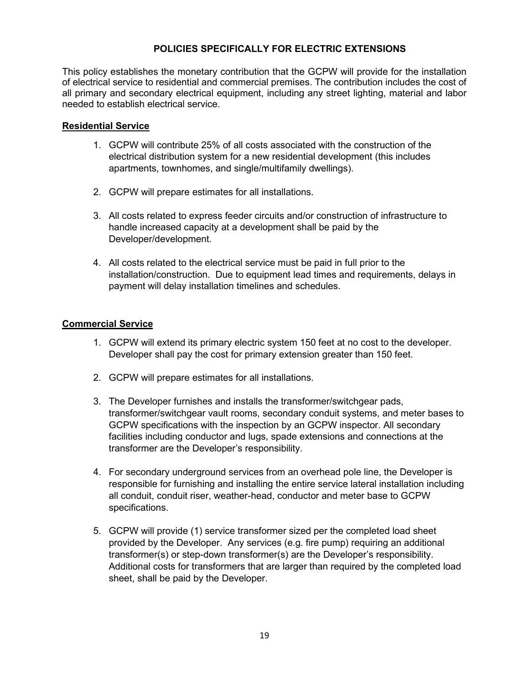#### **POLICIES SPECIFICALLY FOR ELECTRIC EXTENSIONS**

This policy establishes the monetary contribution that the GCPW will provide for the installation of electrical service to residential and commercial premises. The contribution includes the cost of all primary and secondary electrical equipment, including any street lighting, material and labor needed to establish electrical service.

#### **Residential Service**

- 1. GCPW will contribute 25% of all costs associated with the construction of the electrical distribution system for a new residential development (this includes apartments, townhomes, and single/multifamily dwellings).
- 2. GCPW will prepare estimates for all installations.
- 3. All costs related to express feeder circuits and/or construction of infrastructure to handle increased capacity at a development shall be paid by the Developer/development.
- 4. All costs related to the electrical service must be paid in full prior to the installation/construction. Due to equipment lead times and requirements, delays in payment will delay installation timelines and schedules.

#### **Commercial Service**

- 1. GCPW will extend its primary electric system 150 feet at no cost to the developer. Developer shall pay the cost for primary extension greater than 150 feet.
- 2. GCPW will prepare estimates for all installations.
- 3. The Developer furnishes and installs the transformer/switchgear pads, transformer/switchgear vault rooms, secondary conduit systems, and meter bases to GCPW specifications with the inspection by an GCPW inspector. All secondary facilities including conductor and lugs, spade extensions and connections at the transformer are the Developer's responsibility.
- 4. For secondary underground services from an overhead pole line, the Developer is responsible for furnishing and installing the entire service lateral installation including all conduit, conduit riser, weather-head, conductor and meter base to GCPW specifications.
- 5. GCPW will provide (1) service transformer sized per the completed load sheet provided by the Developer. Any services (e.g. fire pump) requiring an additional transformer(s) or step-down transformer(s) are the Developer's responsibility. Additional costs for transformers that are larger than required by the completed load sheet, shall be paid by the Developer.